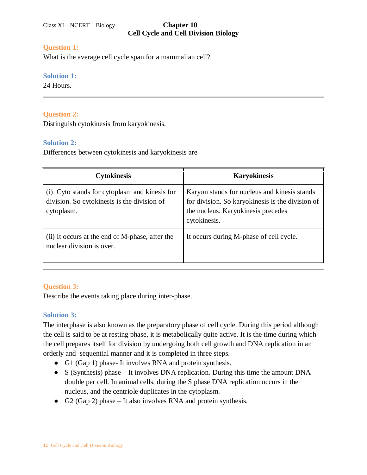# **Question 1:**

What is the average cell cycle span for a mammalian cell?

## **Solution 1:**

24 Hours.

# **Question 2:**

Distinguish cytokinesis from karyokinesis.

## **Solution 2:**

Differences between cytokinesis and karyokinesis are

| <b>Cytokinesis</b>                                                                                         | <b>Karyokinesis</b>                                                                                                                                    |
|------------------------------------------------------------------------------------------------------------|--------------------------------------------------------------------------------------------------------------------------------------------------------|
| (i) Cyto stands for cytoplasm and kinesis for<br>division. So cytokinesis is the division of<br>cytoplasm. | Karyon stands for nucleus and kinesis stands<br>for division. So karyokinesis is the division of<br>the nucleus. Karyokinesis precedes<br>cytokinesis. |
| (ii) It occurs at the end of M-phase, after the<br>nuclear division is over.                               | It occurs during M-phase of cell cycle.                                                                                                                |

# **Question 3:**

Describe the events taking place during inter-phase.

# **Solution 3:**

The interphase is also known as the preparatory phase of cell cycle. During this period although the cell is said to be at resting phase, it is metabolically quite active. It is the time during which the cell prepares itself for division by undergoing both cell growth and DNA replication in an orderly and sequential manner and it is completed in three steps.

- G1 (Gap 1) phase- It involves RNA and protein synthesis.
- S (Synthesis) phase It involves DNA replication. During this time the amount DNA double per cell. In animal cells, during the S phase DNA replication occurs in the nucleus, and the centriole duplicates in the cytoplasm.
- G2 (Gap 2) phase It also involves RNA and protein synthesis.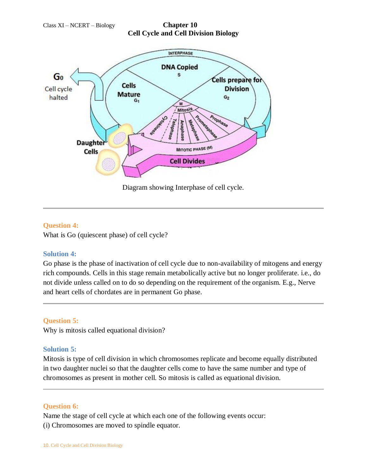

Diagram showing Interphase of cell cycle.

## **Question 4:**

What is Go (quiescent phase) of cell cycle?

# **Solution 4:**

Go phase is the phase of inactivation of cell cycle due to non-availability of mitogens and energy rich compounds. Cells in this stage remain metabolically active but no longer proliferate. i.e., do not divide unless called on to do so depending on the requirement of the organism. E.g., Nerve and heart cells of chordates are in permanent Go phase.

# **Question 5:**

Why is mitosis called equational division?

## **Solution 5:**

Mitosis is type of cell division in which chromosomes replicate and become equally distributed in two daughter nuclei so that the daughter cells come to have the same number and type of chromosomes as present in mother cell. So mitosis is called as equational division.

## **Question 6:**

Name the stage of cell cycle at which each one of the following events occur: (i) Chromosomes are moved to spindle equator.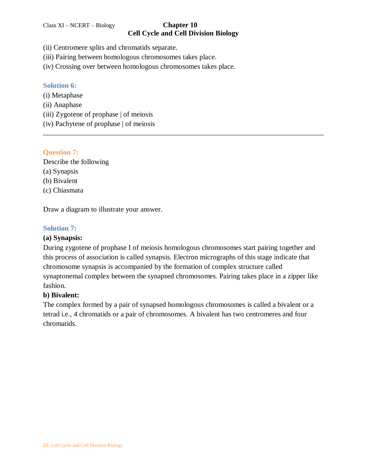# **Cell Cycle and Cell Division Biology**

- (ii) Centromere splits and chromatids separate.
- (iii) Pairing between homologous chromosomes takes place.
- (iv) Crossing over between homologous chromosomes takes place.

## **Solution 6:**

- (i) Metaphase
- (ii) Anaphase
- (iii) Zygotene of prophase | of meiosis
- (iv) Pachytene of prophase | of meiosis

## **Question 7:**

Describe the following (a) Synapsis (b) Bivalent (c) Chiasmata

Draw a diagram to illustrate your answer.

# **Solution 7:**

# **(a) Synapsis:**

During zygotene of prophase I of meiosis homologous chromosomes start pairing together and this process of association is called synapsis. Electron micrographs of this stage indicate that chromosome synapsis is accompanied by the formation of complex structure called synaptonemal complex between the synapsed chromosomes. Pairing takes place in a zipper like fashion.

# **b) Bivalent:**

The complex formed by a pair of synapsed homologous chromosomes is called a bivalent or a tetrad i.e., 4 chromatids or a pair of chromosomes. A bivalent has two centromeres and four chromatids.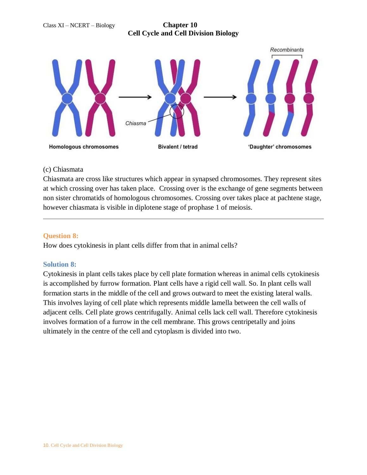

#### (c) Chiasmata

Chiasmata are cross like structures which appear in synapsed chromosomes. They represent sites at which crossing over has taken place. Crossing over is the exchange of gene segments between non sister chromatids of homologous chromosomes. Crossing over takes place at pachtene stage, however chiasmata is visible in diplotene stage of prophase 1 of meiosis.

### **Question 8:**

How does cytokinesis in plant cells differ from that in animal cells?

## **Solution 8:**

Cytokinesis in plant cells takes place by cell plate formation whereas in animal cells cytokinesis is accomplished by furrow formation. Plant cells have a rigid cell wall. So. In plant cells wall formation starts in the middle of the cell and grows outward to meet the existing lateral walls. This involves laying of cell plate which represents middle lamella between the cell walls of adjacent cells. Cell plate grows centrifugally. Animal cells lack cell wall. Therefore cytokinesis involves formation of a furrow in the cell membrane. This grows centripetally and joins ultimately in the centre of the cell and cytoplasm is divided into two.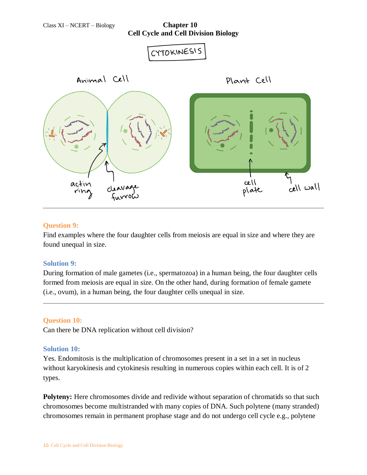

#### **Question 9:**

Find examples where the four daughter cells from meiosis are equal in size and where they are found unequal in size.

#### **Solution 9:**

During formation of male gametes (i.e., spermatozoa) in a human being, the four daughter cells formed from meiosis are equal in size. On the other hand, during formation of female gamete (i.e., ovum), in a human being, the four daughter cells unequal in size.

#### **Question 10:**

Can there be DNA replication without cell division?

#### **Solution 10:**

Yes. Endomitosis is the multiplication of chromosomes present in a set in a set in nucleus without karyokinesis and cytokinesis resulting in numerous copies within each cell. It is of 2 types.

**Polyteny:** Here chromosomes divide and redivide without separation of chromatids so that such chromosomes become multistranded with many copies of DNA. Such polytene (many stranded) chromosomes remain in permanent prophase stage and do not undergo cell cycle e.g., polytene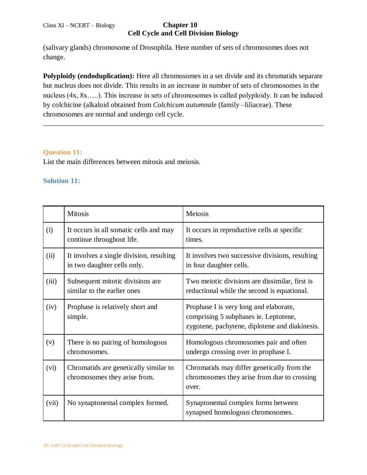(salivary glands) chromosome of Drosophila. Here number of sets of chromosomes does not change.

**Polyploidy (endoduplication):** Here all chromosomes in a set divide and its chromatids separate but nucleus does not divide. This results in an increase in number of sets of chromosomes in the nucleus (4x, 8x…..). This increase in sets of chromosomes is called polyploidy. It can be induced by colchicine (alkaloid obtained from *Colchicum autumnale* (family –liliaceae). These chromosomes are normal and undergo cell cycle.

## **Question 11:**

List the main differences between mitosis and meiosis.

## **Solution 11:**

|       | <b>Mitosis</b>                                                          | Meiosis                                                                                                                           |
|-------|-------------------------------------------------------------------------|-----------------------------------------------------------------------------------------------------------------------------------|
| (i)   | It occurs in all somatic cells and may<br>continue throughout life.     | It occurs in reproductive cells at specific<br>times.                                                                             |
| (ii)  | It involves a single division, resulting<br>in two daughter cells only. | It involves two successive divisions, resulting<br>in four daughter cells.                                                        |
| (iii) | Subsequent mitotic divisions are<br>similar to the earlier ones         | Two meiotic divisions are dissimilar, first is<br>reductional while the second is equational.                                     |
| (iv)  | Prophase is relatively short and<br>simple.                             | Prophase I is very long and elaborate,<br>comprising 5 subphases ie. Leptotene,<br>zygotene, pachytene, diplotene and diakinesis. |
| (v)   | There is no pairing of homologous<br>chromosomes.                       | Homologous chromosomes pair and often<br>undergo crossing over in prophase I.                                                     |
| (vi)  | Chromatids are genetically similar to<br>chromosomes they arise from.   | Chromatids may differ genetically from the<br>chromosomes they arise from due to crossing<br>over.                                |
| (vii) | No synaptonemal complex formed.                                         | Synaptonemal complex forms between<br>synapsed homologous chromosomes.                                                            |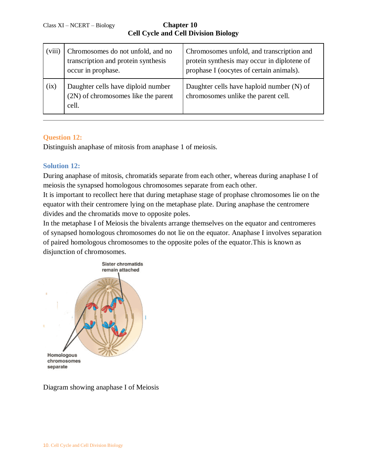**Cell Cycle and Cell Division Biology**

| (viii) | Chromosomes do not unfold, and no<br>transcription and protein synthesis<br>occur in prophase. | Chromosomes unfold, and transcription and<br>protein synthesis may occur in diplotene of<br>prophase I (oocytes of certain animals). |
|--------|------------------------------------------------------------------------------------------------|--------------------------------------------------------------------------------------------------------------------------------------|
| (ix)   | Daughter cells have diploid number<br>(2N) of chromosomes like the parent<br>cell.             | Daughter cells have haploid number (N) of<br>chromosomes unlike the parent cell.                                                     |

## **Question 12:**

Distinguish anaphase of mitosis from anaphase 1 of meiosis.

## **Solution 12:**

During anaphase of mitosis, chromatids separate from each other, whereas during anaphase I of meiosis the synapsed homologous chromosomes separate from each other.

It is important to recollect here that during metaphase stage of prophase chromosomes lie on the equator with their centromere lying on the metaphase plate. During anaphase the centromere divides and the chromatids move to opposite poles.

In the metaphase I of Meiosis the bivalents arrange themselves on the equator and centromeres of synapsed homologous chromosomes do not lie on the equator. Anaphase I involves separation of paired homologous chromosomes to the opposite poles of the equator.This is known as disjunction of chromosomes.



Diagram showing anaphase I of Meiosis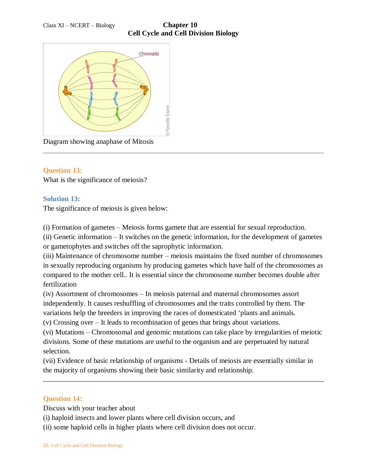

Diagram showing anaphase of Mitosis

## **Question 13:**

What is the significance of meiosis?

## **Solution 13:**

The significance of meiosis is given below:

(i) Formation of gametes – Meiosis forms gamete that are essential for sexual reproduction.

(ii) Genetic information – It switches on the genetic information, for the development of gametes or gametophytes and switches off the saprophytic information.

(iii) Maintenance of chromosome number – meiosis maintains the fixed number of chromosomes in sexually reproducing organisms by producing gametes which have half of the chromosomes as compared to the mother cell.. It is essential since the chromosome number becomes double after fertilization

(iv) Assortment of chromosomes – In meiosis paternal and maternal chromosomes assort independently. It causes reshuffling of chromosomes and the traits controlled by them. The variations help the breeders in improving the races of domesticated 'plants and animals.

(v) Crossing over – It leads to recombination of genes that brings about variations.

(vi) Mutations – Chromosomal and genomic mutations can take place by irregularities of meiotic divisions. Some of these mutations are useful to the organism and are perpetuated by natural selection.

(vii) Evidence of basic relationship of organisms - Details of meiosis are essentially similar in the majority of organisms showing their basic similarity and relationship.

## **Question 14:**

Discuss with your teacher about

(i) haploid insects and lower plants where cell division occurs, and

(ii) some haploid cells in higher plants where cell division does not occur.